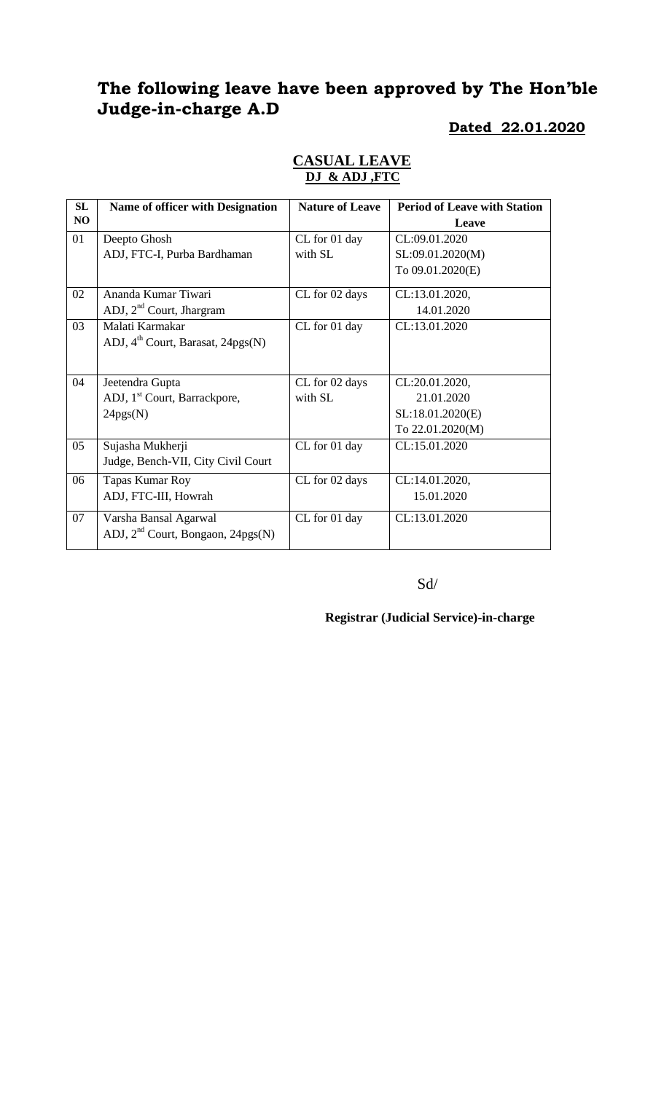# **The following leave have been approved by The Hon'ble Judge-in-charge A.D**

### **Dated 22.01.2020**

| SL             | <b>Name of officer with Designation</b>       | <b>Nature of Leave</b> | <b>Period of Leave with Station</b> |
|----------------|-----------------------------------------------|------------------------|-------------------------------------|
| N <sub>O</sub> |                                               |                        | Leave                               |
| 01             | Deepto Ghosh                                  | CL for 01 day          | CL:09.01.2020                       |
|                | ADJ, FTC-I, Purba Bardhaman                   | with SL                | SL:09.01.2020(M)                    |
|                |                                               |                        | To 09.01.2020(E)                    |
| 02             | Ananda Kumar Tiwari                           | CL for 02 days         | CL:13.01.2020,                      |
|                | ADJ, 2 <sup>nd</sup> Court, Jhargram          |                        | 14.01.2020                          |
| 03             | Malati Karmakar                               | CL for 01 day          | CL:13.01.2020                       |
|                | ADJ, 4 <sup>th</sup> Court, Barasat, 24pgs(N) |                        |                                     |
|                |                                               |                        |                                     |
| 04             | Jeetendra Gupta                               | CL for 02 days         | CL:20.01.2020,                      |
|                | ADJ, 1 <sup>st</sup> Court, Barrackpore,      | with SL                | 21.01.2020                          |
|                | 24pgs(N)                                      |                        | SL:18.01.2020(E)                    |
|                |                                               |                        | To 22.01.2020(M)                    |
| 05             | Sujasha Mukherji                              | CL for 01 day          | CL:15.01.2020                       |
|                | Judge, Bench-VII, City Civil Court            |                        |                                     |
| 06             | Tapas Kumar Roy                               | CL for 02 days         | CL:14.01.2020,                      |
|                | ADJ, FTC-III, Howrah                          |                        | 15.01.2020                          |
| 07             | Varsha Bansal Agarwal                         | CL for 01 day          | CL:13.01.2020                       |
|                | ADJ, $2nd$ Court, Bongaon, $24pgs(N)$         |                        |                                     |

### **CASUAL LEAVE DJ & ADJ ,FTC**

Sd/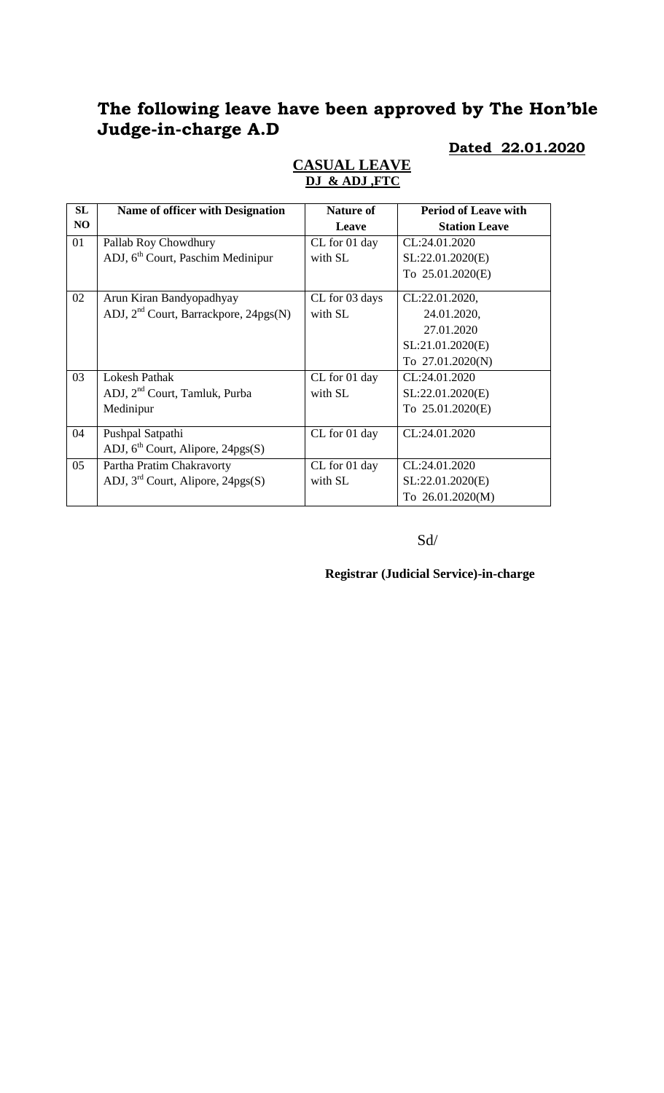# **The following leave have been approved by The Hon'ble Judge-in-charge A.D**

### **Dated 22.01.2020**

| SL | Name of officer with Designation                  | <b>Nature of</b> | <b>Period of Leave with</b> |
|----|---------------------------------------------------|------------------|-----------------------------|
| NO |                                                   | Leave            | <b>Station Leave</b>        |
| 01 | Pallab Roy Chowdhury                              | CL for 01 day    | CL:24.01.2020               |
|    | ADJ, 6 <sup>th</sup> Court, Paschim Medinipur     | with SL          | SL:22.01.2020(E)            |
|    |                                                   |                  | To 25.01.2020(E)            |
| 02 | Arun Kiran Bandyopadhyay                          | CL for 03 days   | CL:22.01.2020,              |
|    | ADJ, 2 <sup>nd</sup> Court, Barrackpore, 24pgs(N) | with SL          | 24.01.2020,                 |
|    |                                                   |                  | 27.01.2020                  |
|    |                                                   |                  | SL:21.01.2020(E)            |
|    |                                                   |                  | To 27.01.2020(N)            |
| 03 | <b>Lokesh Pathak</b>                              | CL for 01 day    | CL:24.01.2020               |
|    | ADJ, 2 <sup>nd</sup> Court, Tamluk, Purba         | with SL          | SL:22.01.2020(E)            |
|    | Medinipur                                         |                  | To 25.01.2020(E)            |
| 04 | Pushpal Satpathi                                  | CL for 01 day    | CL:24.01.2020               |
|    | ADJ, $6th$ Court, Alipore, 24pgs(S)               |                  |                             |
| 05 | Partha Pratim Chakravorty                         | CL for 01 day    | CL:24.01.2020               |
|    | ADJ, $3rd$ Court, Alipore, 24pgs(S)               | with SL          | SL:22.01.2020(E)            |
|    |                                                   |                  | To 26.01.2020(M)            |

### **CASUAL LEAVE DJ & ADJ ,FTC**

Sd/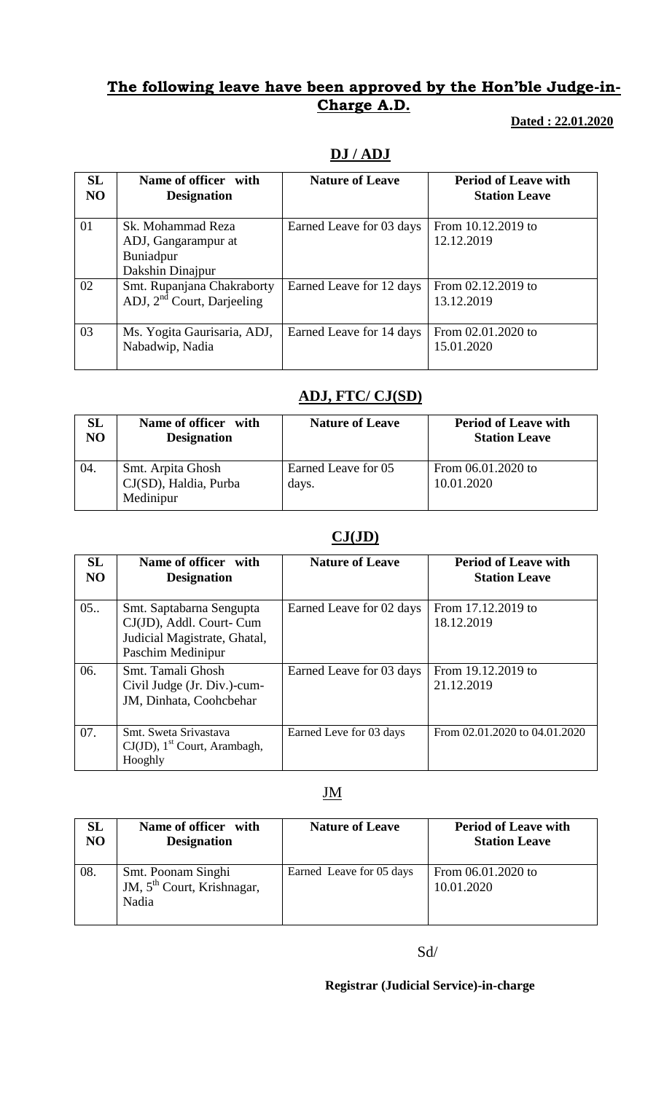## **The following leave have been approved by the Hon'ble Judge-in-Charge A.D.**

### **Dated : 22.01.2020**

## **DJ / ADJ**

| <b>SL</b><br>NO | Name of officer with<br><b>Designation</b>                                | <b>Nature of Leave</b>   | <b>Period of Leave with</b><br><b>Station Leave</b> |
|-----------------|---------------------------------------------------------------------------|--------------------------|-----------------------------------------------------|
| 01              | Sk. Mohammad Reza<br>ADJ, Gangarampur at<br>Buniadpur<br>Dakshin Dinajpur | Earned Leave for 03 days | From 10.12.2019 to<br>12.12.2019                    |
| 02              | Smt. Rupanjana Chakraborty<br>ADJ, 2 <sup>nd</sup> Court, Darjeeling      | Earned Leave for 12 days | From 02.12.2019 to<br>13.12.2019                    |
| 03              | Ms. Yogita Gaurisaria, ADJ,<br>Nabadwip, Nadia                            | Earned Leave for 14 days | From 02.01.2020 to<br>15.01.2020                    |

# **ADJ, FTC/ CJ(SD)**

| SL  | Name of officer with                                    | <b>Nature of Leave</b>       | <b>Period of Leave with</b>      |
|-----|---------------------------------------------------------|------------------------------|----------------------------------|
| NO  | <b>Designation</b>                                      |                              | <b>Station Leave</b>             |
| 04. | Smt. Arpita Ghosh<br>CJ(SD), Haldia, Purba<br>Medinipur | Earned Leave for 05<br>days. | From 06.01.2020 to<br>10.01.2020 |

### **CJ(JD)**

| SL<br>N <sub>O</sub> | Name of officer with<br><b>Designation</b>                                                                | <b>Nature of Leave</b>   | <b>Period of Leave with</b><br><b>Station Leave</b> |
|----------------------|-----------------------------------------------------------------------------------------------------------|--------------------------|-----------------------------------------------------|
| 05.                  | Smt. Saptabarna Sengupta<br>CJ(JD), Addl. Court- Cum<br>Judicial Magistrate, Ghatal,<br>Paschim Medinipur | Earned Leave for 02 days | From 17.12.2019 to<br>18.12.2019                    |
| 06.                  | Smt. Tamali Ghosh<br>Civil Judge (Jr. Div.)-cum-<br>JM, Dinhata, Coohcbehar                               | Earned Leave for 03 days | From 19.12.2019 to<br>21.12.2019                    |
| 07.                  | Smt. Sweta Srivastava<br>$CJ(JD)$ , 1 <sup>st</sup> Court, Arambagh,<br>Hooghly                           | Earned Leve for 03 days  | From 02.01.2020 to 04.01.2020                       |

### JM

| SL  | Name of officer with                                                  | <b>Nature of Leave</b>   | <b>Period of Leave with</b>      |
|-----|-----------------------------------------------------------------------|--------------------------|----------------------------------|
| NO  | <b>Designation</b>                                                    |                          | <b>Station Leave</b>             |
| 08. | Smt. Poonam Singhi<br>JM, 5 <sup>th</sup> Court, Krishnagar,<br>Nadia | Earned Leave for 05 days | From 06.01.2020 to<br>10.01.2020 |